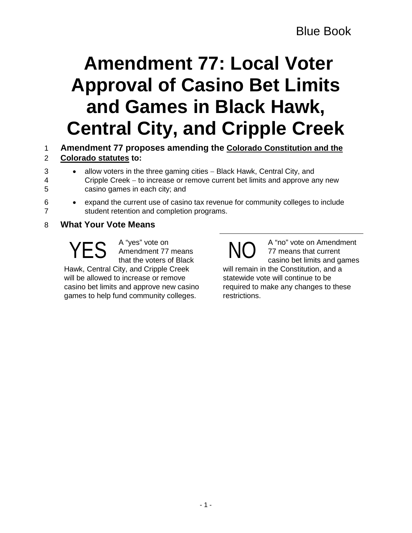# **Amendment 77: Local Voter Approval of Casino Bet Limits and Games in Black Hawk, Central City, and Cripple Creek**

## 1 **Amendment 77 proposes amending the Colorado Constitution and the**  2 **Colorado statutes to:**

- 3 allow voters in the three gaming cities − Black Hawk, Central City, and 4 Cripple Creek − to increase or remove current bet limits and approve any new
- 5 casino games in each city; and
- 
- 6 expand the current use of casino tax revenue for community colleges to include 7 student retention and completion programs.

# 8 **What Your Vote Means**

A "yes" vote on Amendment 77 means that the voters of Black Hawk, Central City, and Cripple Creek will be allowed to increase or remove casino bet limits and approve new casino games to help fund community colleges.  $\mathsf{YES}$  A "yes" vote on<br>that the voters of Black  $\mathsf{NO}$ 

A "no" vote on Amendment 77 means that current casino bet limits and games will remain in the Constitution, and a statewide vote will continue to be required to make any changes to these restrictions.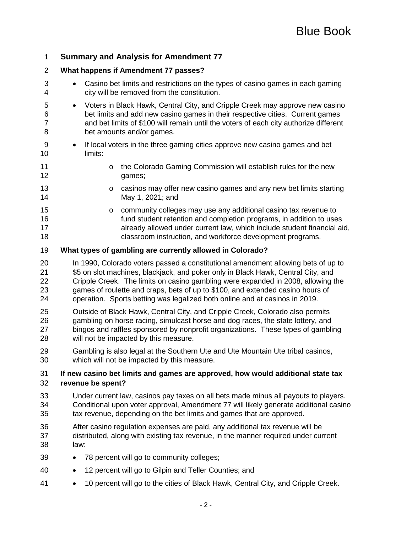## **Summary and Analysis for Amendment 77**

#### **What happens if Amendment 77 passes?**

- Casino bet limits and restrictions on the types of casino games in each gaming city will be removed from the constitution.
- Voters in Black Hawk, Central City, and Cripple Creek may approve new casino bet limits and add new casino games in their respective cities. Current games and bet limits of \$100 will remain until the voters of each city authorize different bet amounts and/or games.
- If local voters in the three gaming cities approve new casino games and bet limits:
- 11 o the Colorado Gaming Commission will establish rules for the new<br>12 o ames: qames:
- 13 casinos may offer new casino games and any new bet limits starting<br>14 May 1, 2021: and May 1, 2021; and
- 15 community colleges may use any additional casino tax revenue to<br>16 fund student retention and completion programs, in addition to use fund student retention and completion programs, in addition to uses **allready allowed under current law, which include student financial aid,** classroom instruction, and workforce development programs.

#### **What types of gambling are currently allowed in Colorado?**

- In 1990, Colorado voters passed a constitutional amendment allowing bets of up to \$5 on slot machines, blackjack, and poker only in Black Hawk, Central City, and Cripple Creek. The limits on casino gambling were expanded in 2008, allowing the games of roulette and craps, bets of up to \$100, and extended casino hours of operation. Sports betting was legalized both online and at casinos in 2019.
- Outside of Black Hawk, Central City, and Cripple Creek, Colorado also permits gambling on horse racing, simulcast horse and dog races, the state lottery, and bingos and raffles sponsored by nonprofit organizations. These types of gambling will not be impacted by this measure.
- Gambling is also legal at the Southern Ute and Ute Mountain Ute tribal casinos, which will not be impacted by this measure.

#### **If new casino bet limits and games are approved, how would additional state tax revenue be spent?**

- Under current law, casinos pay taxes on all bets made minus all payouts to players. Conditional upon voter approval, Amendment 77 will likely generate additional casino tax revenue, depending on the bet limits and games that are approved.
- After casino regulation expenses are paid, any additional tax revenue will be distributed, along with existing tax revenue, in the manner required under current law:
- 78 percent will go to community colleges;
- 12 percent will go to Gilpin and Teller Counties; and
- 10 percent will go to the cities of Black Hawk, Central City, and Cripple Creek.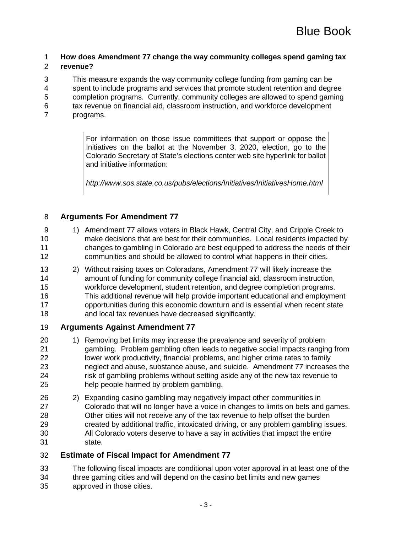# **How does Amendment 77 change the way community colleges spend gaming tax**

#### **revenue?**

This measure expands the way community college funding from gaming can be

spent to include programs and services that promote student retention and degree

completion programs. Currently, community colleges are allowed to spend gaming

tax revenue on financial aid, classroom instruction, and workforce development

programs.

For information on those issue committees that support or oppose the Initiatives on the ballot at the November 3, 2020, election, go to the Colorado Secretary of State's elections center web site hyperlink for ballot and initiative information:

*http://www.sos.state.co.us/pubs/elections/Initiatives/InitiativesHome.html*

## **Arguments For Amendment 77**

- 9 1) Amendment 77 allows voters in Black Hawk, Central City, and Cripple Creek to make decisions that are best for their communities. Local residents impacted by changes to gambling in Colorado are best equipped to address the needs of their communities and should be allowed to control what happens in their cities.
- 2) Without raising taxes on Coloradans, Amendment 77 will likely increase the amount of funding for community college financial aid, classroom instruction, workforce development, student retention, and degree completion programs. This additional revenue will help provide important educational and employment opportunities during this economic downturn and is essential when recent state and local tax revenues have decreased significantly.

#### **Arguments Against Amendment 77**

- 20 1) Removing bet limits may increase the prevalence and severity of problem gambling. Problem gambling often leads to negative social impacts ranging from lower work productivity, financial problems, and higher crime rates to family neglect and abuse, substance abuse, and suicide. Amendment 77 increases the risk of gambling problems without setting aside any of the new tax revenue to help people harmed by problem gambling.
- 2) Expanding casino gambling may negatively impact other communities in Colorado that will no longer have a voice in changes to limits on bets and games. Other cities will not receive any of the tax revenue to help offset the burden created by additional traffic, intoxicated driving, or any problem gambling issues. All Colorado voters deserve to have a say in activities that impact the entire state.
- **Estimate of Fiscal Impact for Amendment 77**

 The following fiscal impacts are conditional upon voter approval in at least one of the three gaming cities and will depend on the casino bet limits and new games

approved in those cities.